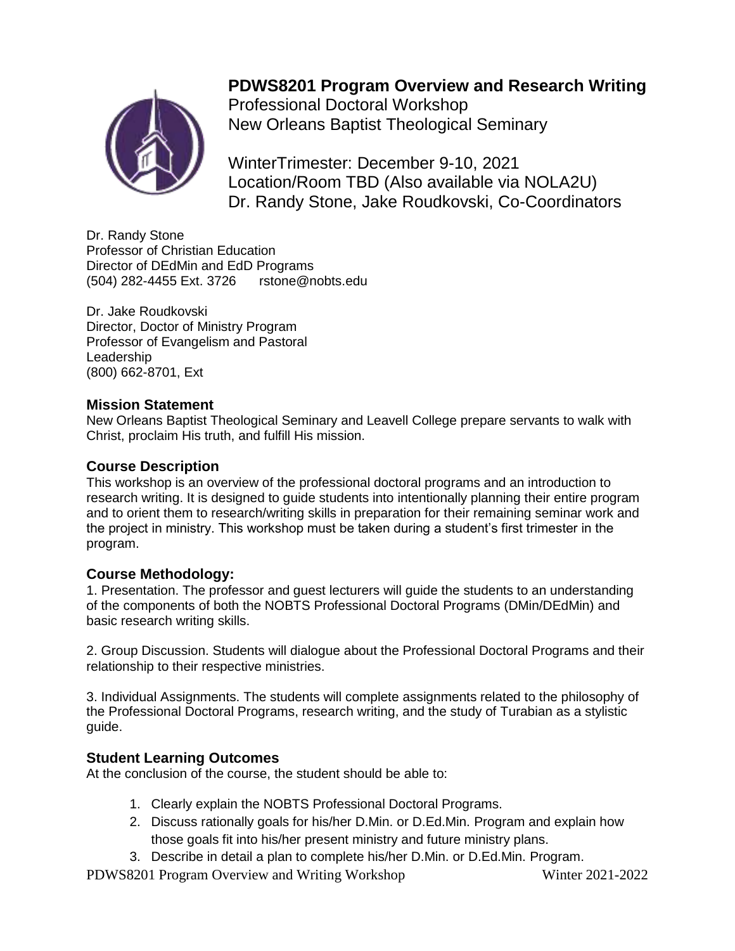# **PDWS8201 Program Overview and Research Writing**

Professional Doctoral Workshop New Orleans Baptist Theological Seminary

WinterTrimester: December 9-10, 2021 Location/Room TBD (Also available via NOLA2U) Dr. Randy Stone, Jake Roudkovski, Co-Coordinators

Dr. Randy Stone Professor of Christian Education Director of DEdMin and EdD Programs (504) 282-4455 Ext. 3726 rstone@nobts.edu

Dr. Jake Roudkovski Director, Doctor of Ministry Program Professor of Evangelism and Pastoral Leadership (800) 662-8701, Ext

## **Mission Statement**

New Orleans Baptist Theological Seminary and Leavell College prepare servants to walk with Christ, proclaim His truth, and fulfill His mission.

## **Course Description**

This workshop is an overview of the professional doctoral programs and an introduction to research writing. It is designed to guide students into intentionally planning their entire program and to orient them to research/writing skills in preparation for their remaining seminar work and the project in ministry. This workshop must be taken during a student's first trimester in the program.

## **Course Methodology:**

1. Presentation. The professor and guest lecturers will guide the students to an understanding of the components of both the NOBTS Professional Doctoral Programs (DMin/DEdMin) and basic research writing skills.

2. Group Discussion. Students will dialogue about the Professional Doctoral Programs and their relationship to their respective ministries.

3. Individual Assignments. The students will complete assignments related to the philosophy of the Professional Doctoral Programs, research writing, and the study of Turabian as a stylistic guide.

## **Student Learning Outcomes**

At the conclusion of the course, the student should be able to:

- 1. Clearly explain the NOBTS Professional Doctoral Programs.
- 2. Discuss rationally goals for his/her D.Min. or D.Ed.Min. Program and explain how those goals fit into his/her present ministry and future ministry plans.
- 3. Describe in detail a plan to complete his/her D.Min. or D.Ed.Min. Program.

PDWS8201 Program Overview and Writing Workshop Winter 2021-2022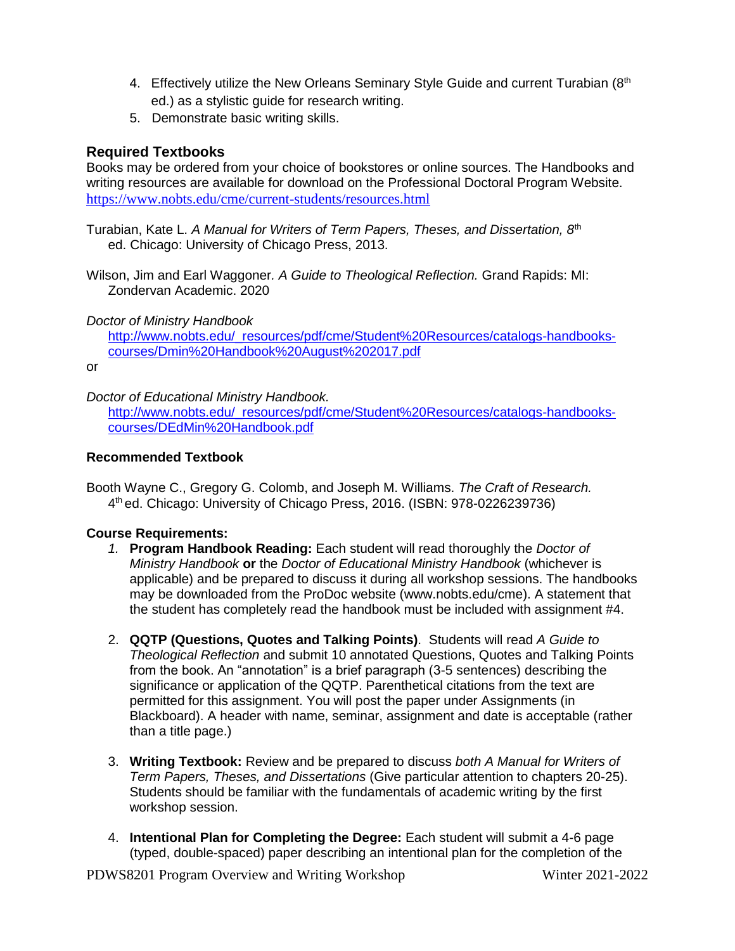- 4. Effectively utilize the New Orleans Seminary Style Guide and current Turabian (8th ed.) as a stylistic guide for research writing.
- 5. Demonstrate basic writing skills.

## **Required Textbooks**

Books may be ordered from your choice of bookstores or online sources. The Handbooks and writing resources are available for download on the Professional Doctoral Program Website. <https://www.nobts.edu/cme/current-students/resources.html>

Turabian, Kate L. *A Manual for Writers of Term Papers, Theses, and Dissertation, 8*th ed. Chicago: University of Chicago Press, 2013.

Wilson, Jim and Earl Waggoner*. A Guide to Theological Reflection.* Grand Rapids: MI: Zondervan Academic. 2020

*Doctor of Ministry Handbook*

[http://www.nobts.edu/\\_resources/pdf/cme/Student%20Resources/catalogs-handbooks](http://www.nobts.edu/_resources/pdf/cme/Student%20Resources/catalogs-handbooks-courses/Dmin%20Handbook%20August%202017.pdf)[courses/Dmin%20Handbook%20August%202017.pdf](http://www.nobts.edu/_resources/pdf/cme/Student%20Resources/catalogs-handbooks-courses/Dmin%20Handbook%20August%202017.pdf)

or

*Doctor of Educational Ministry Handbook.*

[http://www.nobts.edu/\\_resources/pdf/cme/Student%20Resources/catalogs-handbooks](http://www.nobts.edu/_resources/pdf/cme/Student%20Resources/catalogs-handbooks-courses/DEdMin%20Handbook.pdf)[courses/DEdMin%20Handbook.pdf](http://www.nobts.edu/_resources/pdf/cme/Student%20Resources/catalogs-handbooks-courses/DEdMin%20Handbook.pdf)

#### **Recommended Textbook**

Booth Wayne C., Gregory G. Colomb, and Joseph M. Williams. *The Craft of Research.* 4 th ed. Chicago: University of Chicago Press, 2016. (ISBN: 978-0226239736)

#### **Course Requirements:**

- *1.* **Program Handbook Reading:** Each student will read thoroughly the *Doctor of Ministry Handbook* **or** the *Doctor of Educational Ministry Handbook* (whichever is applicable) and be prepared to discuss it during all workshop sessions. The handbooks may be downloaded from the ProDoc website (www.nobts.edu/cme). A statement that the student has completely read the handbook must be included with assignment #4.
- 2. **QQTP (Questions, Quotes and Talking Points)**. Students will read *A Guide to Theological Reflection* and submit 10 annotated Questions, Quotes and Talking Points from the book. An "annotation" is a brief paragraph (3-5 sentences) describing the significance or application of the QQTP. Parenthetical citations from the text are permitted for this assignment. You will post the paper under Assignments (in Blackboard). A header with name, seminar, assignment and date is acceptable (rather than a title page.)
- 3. **Writing Textbook:** Review and be prepared to discuss *both A Manual for Writers of Term Papers, Theses, and Dissertations* (Give particular attention to chapters 20-25). Students should be familiar with the fundamentals of academic writing by the first workshop session.
- 4. **Intentional Plan for Completing the Degree:** Each student will submit a 4-6 page (typed, double-spaced) paper describing an intentional plan for the completion of the

PDWS8201 Program Overview and Writing Workshop Winter 2021-2022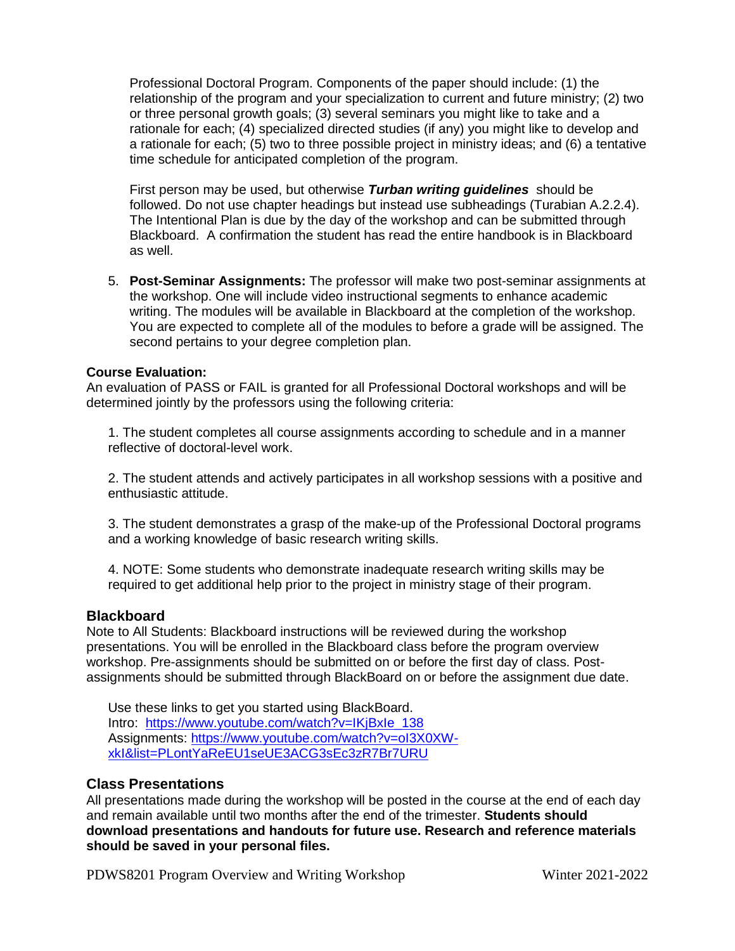Professional Doctoral Program. Components of the paper should include: (1) the relationship of the program and your specialization to current and future ministry; (2) two or three personal growth goals; (3) several seminars you might like to take and a rationale for each; (4) specialized directed studies (if any) you might like to develop and a rationale for each; (5) two to three possible project in ministry ideas; and (6) a tentative time schedule for anticipated completion of the program.

First person may be used, but otherwise *Turban writing guidelines* should be followed. Do not use chapter headings but instead use subheadings (Turabian A.2.2.4). The Intentional Plan is due by the day of the workshop and can be submitted through Blackboard. A confirmation the student has read the entire handbook is in Blackboard as well.

5. **Post-Seminar Assignments:** The professor will make two post-seminar assignments at the workshop. One will include video instructional segments to enhance academic writing. The modules will be available in Blackboard at the completion of the workshop. You are expected to complete all of the modules to before a grade will be assigned. The second pertains to your degree completion plan.

#### **Course Evaluation:**

An evaluation of PASS or FAIL is granted for all Professional Doctoral workshops and will be determined jointly by the professors using the following criteria:

1. The student completes all course assignments according to schedule and in a manner reflective of doctoral-level work.

2. The student attends and actively participates in all workshop sessions with a positive and enthusiastic attitude.

3. The student demonstrates a grasp of the make-up of the Professional Doctoral programs and a working knowledge of basic research writing skills.

4. NOTE: Some students who demonstrate inadequate research writing skills may be required to get additional help prior to the project in ministry stage of their program.

#### **Blackboard**

Note to All Students: Blackboard instructions will be reviewed during the workshop presentations. You will be enrolled in the Blackboard class before the program overview workshop. Pre-assignments should be submitted on or before the first day of class. Postassignments should be submitted through BlackBoard on or before the assignment due date.

Use these links to get you started using BlackBoard. Intro: [https://www.youtube.com/watch?v=IKjBxIe\\_138](https://www.youtube.com/watch?v=IKjBxIe_138) Assignments: [https://www.youtube.com/watch?v=oI3X0XW](https://www.youtube.com/watch?v=oI3X0XW-xkI&list=PLontYaReEU1seUE3ACG3sEc3zR7Br7URU)[xkI&list=PLontYaReEU1seUE3ACG3sEc3zR7Br7URU](https://www.youtube.com/watch?v=oI3X0XW-xkI&list=PLontYaReEU1seUE3ACG3sEc3zR7Br7URU)

#### **Class Presentations**

All presentations made during the workshop will be posted in the course at the end of each day and remain available until two months after the end of the trimester. **Students should download presentations and handouts for future use. Research and reference materials should be saved in your personal files.**

PDWS8201 Program Overview and Writing Workshop Winter 2021-2022